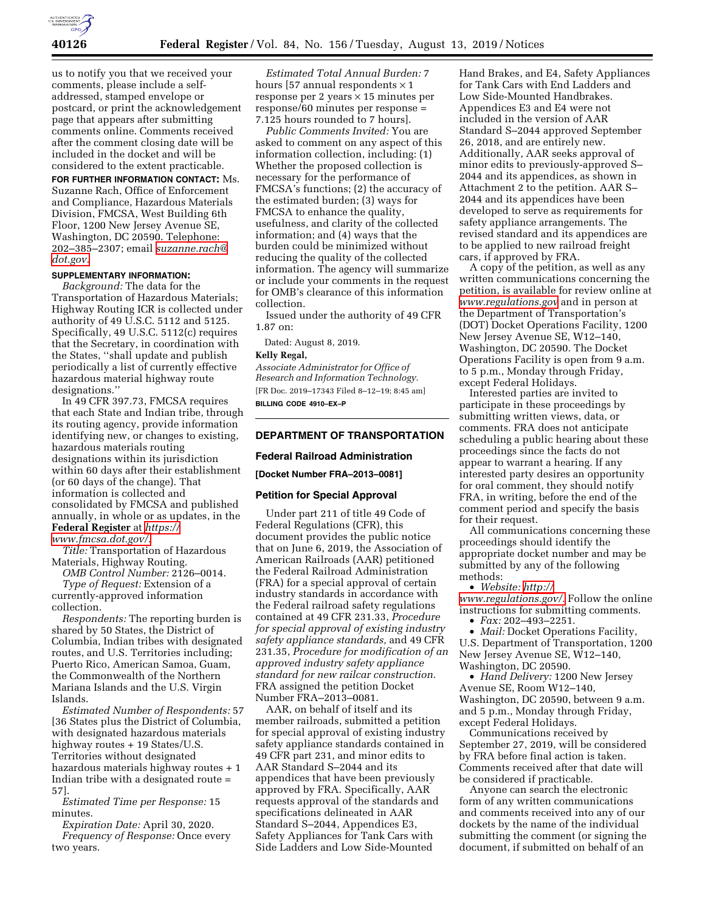

us to notify you that we received your comments, please include a selfaddressed, stamped envelope or postcard, or print the acknowledgement page that appears after submitting comments online. Comments received after the comment closing date will be included in the docket and will be considered to the extent practicable.

**FOR FURTHER INFORMATION CONTACT:** Ms. Suzanne Rach, Office of Enforcement and Compliance, Hazardous Materials Division, FMCSA, West Building 6th Floor, 1200 New Jersey Avenue SE, Washington, DC 20590. Telephone: 202–385–2307; email *[suzanne.rach@](mailto:suzanne.rach@dot.gov) [dot.gov.](mailto:suzanne.rach@dot.gov)* 

#### **SUPPLEMENTARY INFORMATION:**

*Background:* The data for the Transportation of Hazardous Materials; Highway Routing ICR is collected under authority of 49 U.S.C. 5112 and 5125. Specifically, 49 U.S.C. 5112(c) requires that the Secretary, in coordination with the States, ''shall update and publish periodically a list of currently effective hazardous material highway route designations.''

In 49 CFR 397.73, FMCSA requires that each State and Indian tribe, through its routing agency, provide information identifying new, or changes to existing, hazardous materials routing designations within its jurisdiction within 60 days after their establishment (or 60 days of the change). That information is collected and consolidated by FMCSA and published annually, in whole or as updates, in the **Federal Register** at *[https://](https://www.fmcsa.dot.gov/) [www.fmcsa.dot.gov/.](https://www.fmcsa.dot.gov/)* 

*Title:* Transportation of Hazardous Materials, Highway Routing.

*OMB Control Number:* 2126–0014.

*Type of Request:* Extension of a currently-approved information collection.

*Respondents:* The reporting burden is shared by 50 States, the District of Columbia, Indian tribes with designated routes, and U.S. Territories including; Puerto Rico, American Samoa, Guam, the Commonwealth of the Northern Mariana Islands and the U.S. Virgin Islands.

*Estimated Number of Respondents:* 57 [36 States plus the District of Columbia, with designated hazardous materials highway routes + 19 States/U.S. Territories without designated hazardous materials highway routes + 1 Indian tribe with a designated route = 57].

*Estimated Time per Response:* 15 minutes.

*Expiration Date:* April 30, 2020. *Frequency of Response:* Once every two years.

*Estimated Total Annual Burden:* 7 hours [57 annual respondents  $\times$  1 response per 2 years  $\times$  15 minutes per response/60 minutes per response = 7.125 hours rounded to 7 hours].

*Public Comments Invited:* You are asked to comment on any aspect of this information collection, including: (1) Whether the proposed collection is necessary for the performance of FMCSA's functions; (2) the accuracy of the estimated burden; (3) ways for FMCSA to enhance the quality, usefulness, and clarity of the collected information; and (4) ways that the burden could be minimized without reducing the quality of the collected information. The agency will summarize or include your comments in the request for OMB's clearance of this information collection.

Issued under the authority of 49 CFR 1.87 on:

Dated: August 8, 2019.

#### **Kelly Regal,**

*Associate Administrator for Office of Research and Information Technology.*  [FR Doc. 2019–17343 Filed 8–12–19; 8:45 am] **BILLING CODE 4910–EX–P** 

### **DEPARTMENT OF TRANSPORTATION**

#### **Federal Railroad Administration**

**[Docket Number FRA–2013–0081]** 

#### **Petition for Special Approval**

Under part 211 of title 49 Code of Federal Regulations (CFR), this document provides the public notice that on June 6, 2019, the Association of American Railroads (AAR) petitioned the Federal Railroad Administration (FRA) for a special approval of certain industry standards in accordance with the Federal railroad safety regulations contained at 49 CFR 231.33, *Procedure for special approval of existing industry safety appliance standards,* and 49 CFR 231.35, *Procedure for modification of an approved industry safety appliance standard for new railcar construction.*  FRA assigned the petition Docket Number FRA–2013–0081.

AAR, on behalf of itself and its member railroads, submitted a petition for special approval of existing industry safety appliance standards contained in 49 CFR part 231, and minor edits to AAR Standard S–2044 and its appendices that have been previously approved by FRA. Specifically, AAR requests approval of the standards and specifications delineated in AAR Standard S–2044, Appendices E3, Safety Appliances for Tank Cars with Side Ladders and Low Side-Mounted

Hand Brakes, and E4, Safety Appliances for Tank Cars with End Ladders and Low Side-Mounted Handbrakes. Appendices E3 and E4 were not included in the version of AAR Standard S–2044 approved September 26, 2018, and are entirely new. Additionally, AAR seeks approval of minor edits to previously-approved S– 2044 and its appendices, as shown in Attachment 2 to the petition. AAR S– 2044 and its appendices have been developed to serve as requirements for safety appliance arrangements. The revised standard and its appendices are to be applied to new railroad freight cars, if approved by FRA.

A copy of the petition, as well as any written communications concerning the petition, is available for review online at *[www.regulations.gov](http://www.regulations.gov)* and in person at the Department of Transportation's (DOT) Docket Operations Facility, 1200 New Jersey Avenue SE, W12–140, Washington, DC 20590. The Docket Operations Facility is open from 9 a.m. to 5 p.m., Monday through Friday, except Federal Holidays.

Interested parties are invited to participate in these proceedings by submitting written views, data, or comments. FRA does not anticipate scheduling a public hearing about these proceedings since the facts do not appear to warrant a hearing. If any interested party desires an opportunity for oral comment, they should notify FRA, in writing, before the end of the comment period and specify the basis for their request.

All communications concerning these proceedings should identify the appropriate docket number and may be submitted by any of the following methods:

• *Website: [http://](http://www.regulations.gov/) [www.regulations.gov/.](http://www.regulations.gov/)* Follow the online instructions for submitting comments.

• *Fax:* 202–493–2251.

• *Mail:* Docket Operations Facility, U.S. Department of Transportation, 1200 New Jersey Avenue SE, W12–140, Washington, DC 20590.

• *Hand Delivery:* 1200 New Jersey Avenue SE, Room W12–140, Washington, DC 20590, between 9 a.m. and 5 p.m., Monday through Friday, except Federal Holidays.

Communications received by September 27, 2019, will be considered by FRA before final action is taken. Comments received after that date will be considered if practicable.

Anyone can search the electronic form of any written communications and comments received into any of our dockets by the name of the individual submitting the comment (or signing the document, if submitted on behalf of an